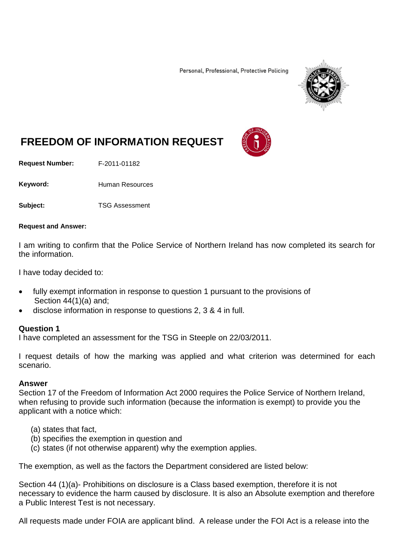Personal, Professional, Protective Policing



# **FREEDOM OF INFORMATION REQUEST**

**Request Number:** F-2011-01182

Keyword: Human Resources

**Subject:** TSG Assessment

#### **Request and Answer:**

I am writing to confirm that the Police Service of Northern Ireland has now completed its search for the information.

I have today decided to:

- fully exempt information in response to question 1 pursuant to the provisions of Section 44(1)(a) and;
- disclose information in response to questions 2, 3 & 4 in full.

#### **Question 1**

I have completed an assessment for the TSG in Steeple on 22/03/2011.

I request details of how the marking was applied and what criterion was determined for each scenario.

#### **Answer**

Section 17 of the Freedom of Information Act 2000 requires the Police Service of Northern Ireland, when refusing to provide such information (because the information is exempt) to provide you the applicant with a notice which:

- (a) states that fact,
- (b) specifies the exemption in question and
- (c) states (if not otherwise apparent) why the exemption applies.

The exemption, as well as the factors the Department considered are listed below:

Section 44 (1)(a)- Prohibitions on disclosure is a Class based exemption, therefore it is not necessary to evidence the harm caused by disclosure. It is also an Absolute exemption and therefore a Public Interest Test is not necessary.

All requests made under FOIA are applicant blind. A release under the FOI Act is a release into the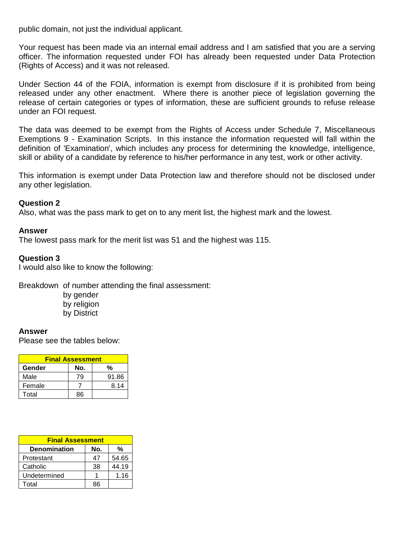public domain, not just the individual applicant.

Your request has been made via an internal email address and I am satisfied that you are a serving officer. The information requested under FOI has already been requested under Data Protection (Rights of Access) and it was not released.

Under Section 44 of the FOIA, information is exempt from disclosure if it is prohibited from being released under any other enactment. Where there is another piece of legislation governing the release of certain categories or types of information, these are sufficient grounds to refuse release under an FOI request.

The data was deemed to be exempt from the Rights of Access under Schedule 7, Miscellaneous Exemptions 9 - Examination Scripts. In this instance the information requested will fall within the definition of 'Examination', which includes any process for determining the knowledge, intelligence, skill or ability of a candidate by reference to his/her performance in any test, work or other activity.

This information is exempt under Data Protection law and therefore should not be disclosed under any other legislation.

## **Question 2**

Also, what was the pass mark to get on to any merit list, the highest mark and the lowest.

#### **Answer**

The lowest pass mark for the merit list was 51 and the highest was 115.

#### **Question 3**

I would also like to know the following:

Breakdown of number attending the final assessment:

 by gender by religion by District

## **Answer**

Please see the tables below:

| <b>Final Assessment</b> |     |       |  |
|-------------------------|-----|-------|--|
| Gender                  | No. | %     |  |
| Male                    | 79  | 91.86 |  |
| Female                  |     | 8.14  |  |
| Total                   | Яĥ  |       |  |

| <b>Final Assessment</b> |     |       |  |
|-------------------------|-----|-------|--|
| <b>Denomination</b>     | No. | %     |  |
| Protestant              | 47  | 54.65 |  |
| Catholic                | 38  | 44.19 |  |
| Undetermined            |     | 1.16  |  |
| Total                   | RR  |       |  |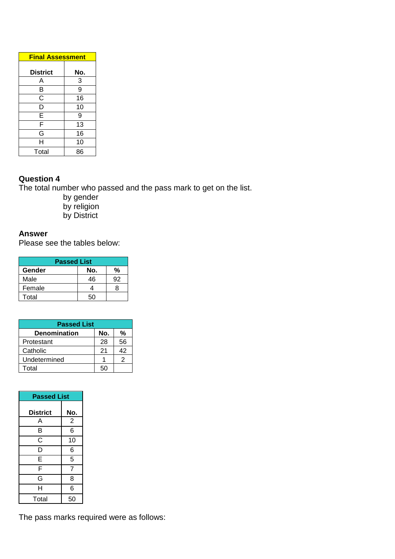| <b>Final Assessment</b> |     |
|-------------------------|-----|
| <b>District</b>         | No. |
| Α                       | 3   |
| B                       | 9   |
| C                       | 16  |
| D                       | 10  |
| Ē                       | 9   |
| F                       | 13  |
| G                       | 16  |
| н                       | 10  |
| Total                   | 86  |

# **Question 4**

The total number who passed and the pass mark to get on the list.

- by gender by religion
- by District

# **Answer**

Please see the tables below:

| <b>Passed List</b> |     |    |  |
|--------------------|-----|----|--|
| Gender             | No. | %  |  |
| Male               | 46  | 92 |  |
| Female             |     | R  |  |
| Total              | 50  |    |  |

| <b>Passed List</b>  |     |    |  |
|---------------------|-----|----|--|
| <b>Denomination</b> | No. | %  |  |
| Protestant          | 28  | 56 |  |
| Catholic            | 21  | 42 |  |
| Undetermined        |     | 2  |  |
| Total               | БΩ  |    |  |

| <b>Passed List</b> |                |  |
|--------------------|----------------|--|
| <b>District</b>    | No.            |  |
| Α                  | $\overline{2}$ |  |
| B                  | 6              |  |
| C                  | 10             |  |
| D                  | 6              |  |
| E                  | 5              |  |
| F                  | $\overline{7}$ |  |
| G                  | 8              |  |
| H                  | 6              |  |
| Total              | 50             |  |

The pass marks required were as follows: